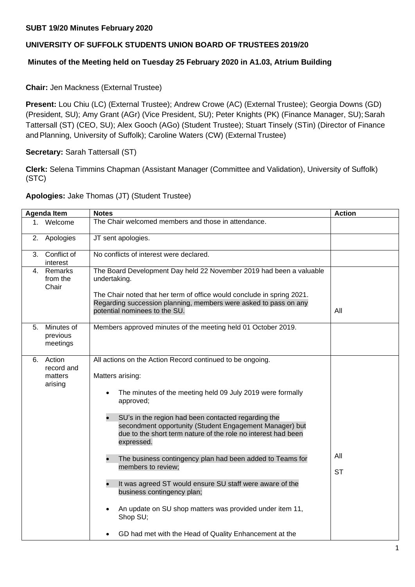### **SUBT 19/20 Minutes February 2020**

# **UNIVERSITY OF SUFFOLK STUDENTS UNION BOARD OF TRUSTEES 2019/20**

## **Minutes of the Meeting held on Tuesday 25 February 2020 in A1.03, Atrium Building**

### **Chair:** Jen Mackness (External Trustee)

**Present:** Lou Chiu (LC) (External Trustee); Andrew Crowe (AC) (External Trustee); Georgia Downs (GD) (President, SU); Amy Grant (AGr) (Vice President, SU); Peter Knights (PK) (Finance Manager, SU); Sarah Tattersall (ST) (CEO, SU); Alex Gooch (AGo) (Student Trustee); Stuart Tinsely (STin) (Director of Finance andPlanning, University of Suffolk); Caroline Waters (CW) (External Trustee)

# **Secretary:** Sarah Tattersall (ST)

**Clerk:** Selena Timmins Chapman (Assistant Manager (Committee and Validation), University of Suffolk) (STC)

#### **Apologies:** Jake Thomas (JT) (Student Trustee)

| <b>Agenda Item</b> |                                            | <b>Notes</b>                                                                                                                                                                                                                                                                                                                                                                                                                                                                                                                                                                                                                                                                          | <b>Action</b>    |
|--------------------|--------------------------------------------|---------------------------------------------------------------------------------------------------------------------------------------------------------------------------------------------------------------------------------------------------------------------------------------------------------------------------------------------------------------------------------------------------------------------------------------------------------------------------------------------------------------------------------------------------------------------------------------------------------------------------------------------------------------------------------------|------------------|
| 1.                 | Welcome                                    | The Chair welcomed members and those in attendance.                                                                                                                                                                                                                                                                                                                                                                                                                                                                                                                                                                                                                                   |                  |
| 2.                 | Apologies                                  | JT sent apologies.                                                                                                                                                                                                                                                                                                                                                                                                                                                                                                                                                                                                                                                                    |                  |
|                    | 3. Conflict of<br>interest                 | No conflicts of interest were declared.                                                                                                                                                                                                                                                                                                                                                                                                                                                                                                                                                                                                                                               |                  |
| 4.                 | Remarks<br>from the<br>Chair               | The Board Development Day held 22 November 2019 had been a valuable<br>undertaking.<br>The Chair noted that her term of office would conclude in spring 2021.<br>Regarding succession planning, members were asked to pass on any<br>potential nominees to the SU.                                                                                                                                                                                                                                                                                                                                                                                                                    | All              |
| 5.                 | Minutes of<br>previous<br>meetings         | Members approved minutes of the meeting held 01 October 2019.                                                                                                                                                                                                                                                                                                                                                                                                                                                                                                                                                                                                                         |                  |
| 6.                 | Action<br>record and<br>matters<br>arising | All actions on the Action Record continued to be ongoing.<br>Matters arising:<br>The minutes of the meeting held 09 July 2019 were formally<br>approved;<br>SU's in the region had been contacted regarding the<br>secondment opportunity (Student Engagement Manager) but<br>due to the short term nature of the role no interest had been<br>expressed.<br>The business contingency plan had been added to Teams for<br>members to review;<br>$\bullet$<br>It was agreed ST would ensure SU staff were aware of the<br>business contingency plan;<br>An update on SU shop matters was provided under item 11,<br>Shop SU;<br>GD had met with the Head of Quality Enhancement at the | All<br><b>ST</b> |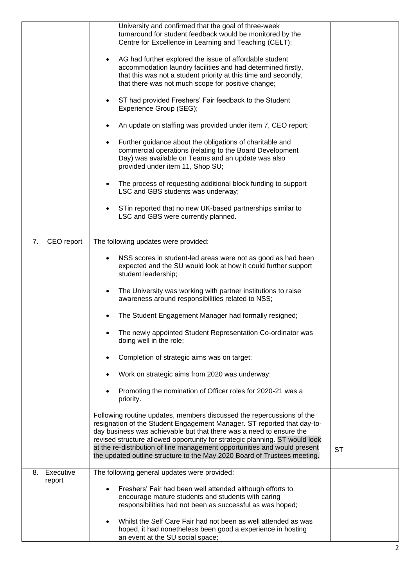|                           | University and confirmed that the goal of three-week<br>turnaround for student feedback would be monitored by the<br>Centre for Excellence in Learning and Teaching (CELT);                                                                                                                            |           |
|---------------------------|--------------------------------------------------------------------------------------------------------------------------------------------------------------------------------------------------------------------------------------------------------------------------------------------------------|-----------|
|                           | AG had further explored the issue of affordable student<br>accommodation laundry facilities and had determined firstly,<br>that this was not a student priority at this time and secondly,<br>that there was not much scope for positive change;                                                       |           |
|                           | ST had provided Freshers' Fair feedback to the Student<br>٠<br>Experience Group (SEG);                                                                                                                                                                                                                 |           |
|                           | An update on staffing was provided under item 7, CEO report;                                                                                                                                                                                                                                           |           |
|                           | Further guidance about the obligations of charitable and<br>commercial operations (relating to the Board Development<br>Day) was available on Teams and an update was also<br>provided under item 11, Shop SU;                                                                                         |           |
|                           | The process of requesting additional block funding to support<br>LSC and GBS students was underway;                                                                                                                                                                                                    |           |
|                           | STin reported that no new UK-based partnerships similar to<br>LSC and GBS were currently planned.                                                                                                                                                                                                      |           |
| 7.<br>CEO report          | The following updates were provided:                                                                                                                                                                                                                                                                   |           |
|                           | NSS scores in student-led areas were not as good as had been<br>expected and the SU would look at how it could further support<br>student leadership;                                                                                                                                                  |           |
|                           | The University was working with partner institutions to raise<br>awareness around responsibilities related to NSS;                                                                                                                                                                                     |           |
|                           | The Student Engagement Manager had formally resigned;                                                                                                                                                                                                                                                  |           |
|                           | The newly appointed Student Representation Co-ordinator was<br>doing well in the role;                                                                                                                                                                                                                 |           |
|                           | Completion of strategic aims was on target;                                                                                                                                                                                                                                                            |           |
|                           | Work on strategic aims from 2020 was underway;                                                                                                                                                                                                                                                         |           |
|                           | Promoting the nomination of Officer roles for 2020-21 was a<br>priority.                                                                                                                                                                                                                               |           |
|                           | Following routine updates, members discussed the repercussions of the<br>resignation of the Student Engagement Manager. ST reported that day-to-<br>day business was achievable but that there was a need to ensure the<br>revised structure allowed opportunity for strategic planning. ST would look |           |
|                           | at the re-distribution of line management opportunities and would present<br>the updated outline structure to the May 2020 Board of Trustees meeting.                                                                                                                                                  | <b>ST</b> |
| Executive<br>8.<br>report | The following general updates were provided:                                                                                                                                                                                                                                                           |           |
|                           | Freshers' Fair had been well attended although efforts to<br>encourage mature students and students with caring                                                                                                                                                                                        |           |
|                           | responsibilities had not been as successful as was hoped;                                                                                                                                                                                                                                              |           |
|                           | Whilst the Self Care Fair had not been as well attended as was<br>hoped, it had nonetheless been good a experience in hosting                                                                                                                                                                          |           |
|                           | an event at the SU social space;                                                                                                                                                                                                                                                                       |           |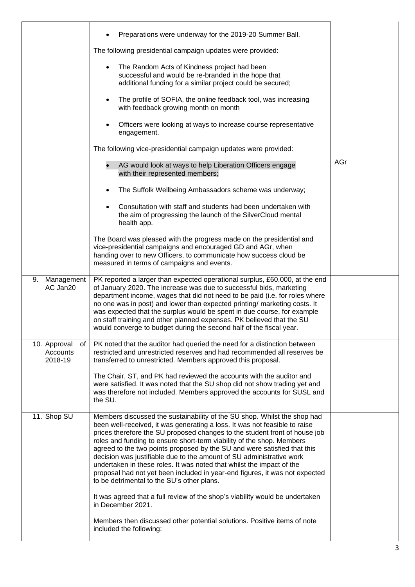|                                           | Preparations were underway for the 2019-20 Summer Ball.                                                                                                                                                                                                                                                                                                                                                                                                                                                                                                                                                                                                                 |     |
|-------------------------------------------|-------------------------------------------------------------------------------------------------------------------------------------------------------------------------------------------------------------------------------------------------------------------------------------------------------------------------------------------------------------------------------------------------------------------------------------------------------------------------------------------------------------------------------------------------------------------------------------------------------------------------------------------------------------------------|-----|
|                                           | The following presidential campaign updates were provided:                                                                                                                                                                                                                                                                                                                                                                                                                                                                                                                                                                                                              |     |
|                                           | The Random Acts of Kindness project had been<br>$\bullet$<br>successful and would be re-branded in the hope that<br>additional funding for a similar project could be secured;                                                                                                                                                                                                                                                                                                                                                                                                                                                                                          |     |
|                                           | The profile of SOFIA, the online feedback tool, was increasing<br>$\bullet$<br>with feedback growing month on month                                                                                                                                                                                                                                                                                                                                                                                                                                                                                                                                                     |     |
|                                           | Officers were looking at ways to increase course representative<br>engagement.                                                                                                                                                                                                                                                                                                                                                                                                                                                                                                                                                                                          |     |
|                                           | The following vice-presidential campaign updates were provided:                                                                                                                                                                                                                                                                                                                                                                                                                                                                                                                                                                                                         |     |
|                                           | AG would look at ways to help Liberation Officers engage<br>with their represented members;                                                                                                                                                                                                                                                                                                                                                                                                                                                                                                                                                                             | AGr |
|                                           | The Suffolk Wellbeing Ambassadors scheme was underway;<br>$\bullet$                                                                                                                                                                                                                                                                                                                                                                                                                                                                                                                                                                                                     |     |
|                                           | Consultation with staff and students had been undertaken with<br>$\bullet$<br>the aim of progressing the launch of the SilverCloud mental<br>health app.                                                                                                                                                                                                                                                                                                                                                                                                                                                                                                                |     |
|                                           | The Board was pleased with the progress made on the presidential and<br>vice-presidential campaigns and encouraged GD and AGr, when<br>handing over to new Officers, to communicate how success cloud be<br>measured in terms of campaigns and events.                                                                                                                                                                                                                                                                                                                                                                                                                  |     |
| 9. Management<br>AC Jan20                 | PK reported a larger than expected operational surplus, £60,000, at the end<br>of January 2020. The increase was due to successful bids, marketing<br>department income, wages that did not need to be paid (i.e. for roles where<br>no one was in post) and lower than expected printing/ marketing costs. It<br>was expected that the surplus would be spent in due course, for example<br>on staff training and other planned expenses. PK believed that the SU<br>would converge to budget during the second half of the fiscal year.                                                                                                                               |     |
| 10. Approval<br>of<br>Accounts<br>2018-19 | PK noted that the auditor had queried the need for a distinction between<br>restricted and unrestricted reserves and had recommended all reserves be<br>transferred to unrestricted. Members approved this proposal.                                                                                                                                                                                                                                                                                                                                                                                                                                                    |     |
|                                           | The Chair, ST, and PK had reviewed the accounts with the auditor and<br>were satisfied. It was noted that the SU shop did not show trading yet and<br>was therefore not included. Members approved the accounts for SUSL and<br>the SU.                                                                                                                                                                                                                                                                                                                                                                                                                                 |     |
| 11. Shop SU                               | Members discussed the sustainability of the SU shop. Whilst the shop had<br>been well-received, it was generating a loss. It was not feasible to raise<br>prices therefore the SU proposed changes to the student front of house job<br>roles and funding to ensure short-term viability of the shop. Members<br>agreed to the two points proposed by the SU and were satisfied that this<br>decision was justifiable due to the amount of SU administrative work<br>undertaken in these roles. It was noted that whilst the impact of the<br>proposal had not yet been included in year-end figures, it was not expected<br>to be detrimental to the SU's other plans. |     |
|                                           | It was agreed that a full review of the shop's viability would be undertaken<br>in December 2021.                                                                                                                                                                                                                                                                                                                                                                                                                                                                                                                                                                       |     |
|                                           | Members then discussed other potential solutions. Positive items of note<br>included the following:                                                                                                                                                                                                                                                                                                                                                                                                                                                                                                                                                                     |     |